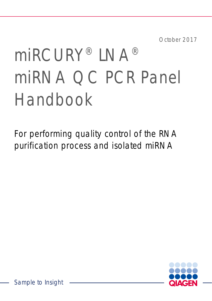October 2017

# miRCURY® LNA® miRNA QC PCR Panel Handbook

For performing quality control of the RNA purification process and isolated miRNA



Sample to Insight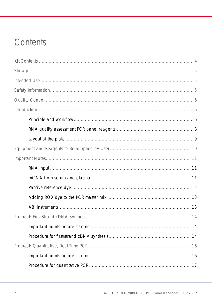### Contents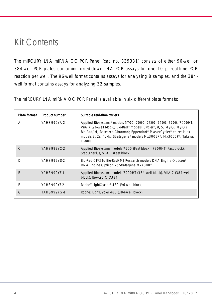### <span id="page-3-0"></span>Kit Contents

The miRCURY LNA miRNA QC PCR Panel (cat. no. 339331) consists of either 96-well or 384-well PCR plates containing dried-down LNA PCR assays for one 10 µl real-time PCR reaction per well. The 96-well format contains assays for analyzing 8 samples, and the 384 well format contains assays for analyzing 32 samples.

The miRCURY LNA miRNA QC PCR Panel is available in six different plate formats:

|   | Plate format Product number | Suitable real-time cyclers                                                                                                                                                                                                                                                                    |
|---|-----------------------------|-----------------------------------------------------------------------------------------------------------------------------------------------------------------------------------------------------------------------------------------------------------------------------------------------|
| Α | YAHS-999YA-2                | Applied Biosystems® models 5700, 7000, 7300, 7500, 7700, 7900HT,<br>ViiA 7 (96-well block); Bio-Rad® models iCycler®, iQ5, MyiQ, MyiQ2;<br>Bio-Rad/MJ Research Chromo4; Eppendorf® MasterCycler® ep realplex<br>models 2, 2s, 4, 4s; Stratagene® models Mx3005P®, Mx3000P®; Takara:<br>TP-800 |
|   | YAHS-999YC-2                | Applied Biosystems models 7500 (Fast block), 7900HT (Fast block),<br>StepOnePlus, ViiA 7 (Fast block)                                                                                                                                                                                         |
| D | YAHS-999YD-2                | Bio-Rad CFX96; Bio-Rad/MJ Research models DNA Engine Opticon®,<br>DNA Engine Opticon 2; Stratagene Mx4000 <sup>®</sup>                                                                                                                                                                        |
| F | <b>YAHS-999YF-1</b>         | Applied Biosystems models 7900HT (384-well block), ViiA 7 (384-well<br>block); Bio-Rad CFX384                                                                                                                                                                                                 |
| F | YAHS-999YF-2                | Roche® LightCycler® 480 (96-well block)                                                                                                                                                                                                                                                       |
| G | YAHS-999YG-1                | Roche: LightCycler 480 (384-well block)                                                                                                                                                                                                                                                       |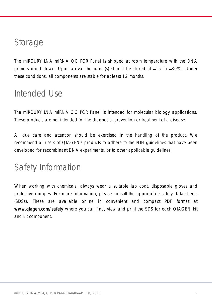### <span id="page-4-0"></span>Storage

The miRCURY LNA miRNA QC PCR Panel is shipped at room temperature with the DNA primers dried down. Upon arrival the panel(s) should be stored at  $-15$  to  $-30^{\circ}$ C. Under these conditions, all components are stable for at least 12 months.

### <span id="page-4-1"></span>Intended Use

The miRCURY LNA miRNA QC PCR Panel is intended for molecular biology applications. These products are not intended for the diagnosis, prevention or treatment of a disease.

All due care and attention should be exercised in the handling of the product. We recommend all users of QIAGEN® products to adhere to the NIH guidelines that have been developed for recombinant DNA experiments, or to other applicable guidelines.

### <span id="page-4-2"></span>Safety Information

When working with chemicals, always wear a suitable lab coat, disposable gloves and protective goggles. For more information, please consult the appropriate safety data sheets (SDSs). These are available online in convenient and compact PDF format at [www.qiagen.com/safety](http://www.qiagen.com/safety) where you can find, view and print the SDS for each QIAGEN kit and kit component.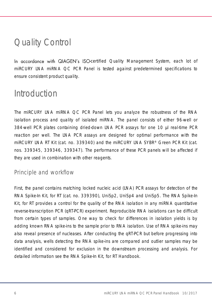### <span id="page-5-0"></span>Quality Control

In accordance with QIAGEN's ISO-certified Quality Management System, each lot of miRCURY LNA miRNA QC PCR Panel is tested against predetermined specifications to ensure consistent product quality.

### <span id="page-5-1"></span>Introduction

The miRCURY LNA miRNA QC PCR Panel lets you analyze the robustness of the RNA isolation process and quality of isolated miRNA. The panel consists of either 96-well or 384-well PCR plates containing dried-down LNA PCR assays for one 10 µl real-time PCR reaction per well. The LNA PCR assays are designed for optimal performance with the miRCURY LNA RT Kit (cat. no. 339340) and the miRCURY LNA SYBR® Green PCR Kit (cat. nos. 339345, 339346, 339347). The performance of these PCR panels will be affected if they are used in combination with other reagents.

### <span id="page-5-2"></span>Principle and workflow

First, the panel contains matching locked nucleic acid (LNA) PCR assays for detection of the RNA Spike-In Kit, for RT (cat. no. 339390), UniSp2, UniSp4 and UniSp5. The RNA Spike-In Kit, for RT provides a control for the quality of the RNA isolation in any miRNA quantitative reverse-transcription PCR (qRT-PCR) experiment. Reproducible RNA isolations can be difficult from certain types of samples. One way to check for differences in isolation yields is by adding known RNA spike-ins to the sample prior to RNA isolation. Use of RNA spike-ins may also reveal presence of nucleases. After conducting the qRT-PCR but before progressing into data analysis, wells detecting the RNA spike-ins are compared and outlier samples may be identified and considered for exclusion in the downstream processing and analysis. For detailed information see the *RNA Spike-In Kit, for RT Handbook*.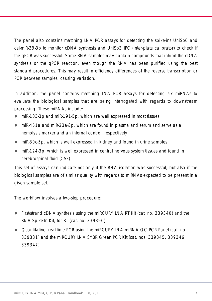The panel also contains matching LNA PCR assays for detecting the spike-ins UniSp6 and cel-miR-39-3p to monitor cDNA synthesis and UniSp3 IPC (inter-plate calibrator) to check if the qPCR was successful. Some RNA samples may contain compounds that inhibit the cDNA synthesis or the qPCR reaction, even though the RNA has been purified using the best standard procedures. This may result in efficiency differences of the reverse transcription or PCR between samples, causing variation.

In addition, the panel contains matching LNA PCR assays for detecting six miRNAs to evaluate the biological samples that are being interrogated with regards to downstream processing. These miRNAs include:

- miR-103-3p and miR-191-5p, which are well expressed in most tissues
- miR-451a and miR-23a-3p, which are found in plasma and serum and serve as a hemolysis marker and an internal control, respectively
- miR-30c-5p, which is well expressed in kidney and found in urine samples
- miR-124-3p, which is well expressed in central nervous system tissues and found in cerebrospinal fluid (CSF)

This set of assays can indicate not only if the RNA isolation was successful, but also if the biological samples are of similar quality with regards to miRNAs expected to be present in a given sample set.

The workflow involves a two-step procedure:

- First-strand cDNA synthesis using the miRCURY LNA RT Kit (cat. no. 339340) and the RNA Spike-In Kit, for RT (cat. no. 339390)
- Quantitative, real-time PCR using the miRCURY LNA miRNA QC PCR Panel (cat. no. 339331) and the miRCURY LNA SYBR Green PCR Kit (cat. nos. 339345, 339346, 339347)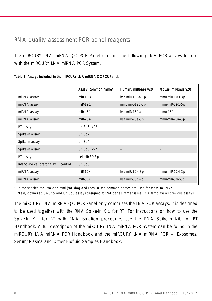### <span id="page-7-0"></span>RNA quality assessment PCR panel reagents

The miRCURY LNA miRNA QC PCR Panel contains the following LNA PCR assays for use with the miRCURY LNA miRNA PCR System.

|                                      | Assay (common name*) | Human, miRbase v20 | Mouse, miRbase v20 |
|--------------------------------------|----------------------|--------------------|--------------------|
| miRNA assay                          | miR-103              | hsa-miR-103a-3p    | mmu-miR-103-3p     |
| miRNA assay                          | miR-191              | mmu-miR-191-5p     | mmu-miR-191-5p     |
| miRNA assay                          | miR-451              | hsa-mi $R-451a$    | mmu.451            |
| miRNA assay                          | $miR-23a$            | hsa-miR-23a-3p     | mmu-miR-23a-3p     |
| RT assay                             | UniSp6, $v2*$        |                    |                    |
| Spike-in assay                       | UniSp2               |                    |                    |
| Spike-in assay                       | UniSp4               |                    |                    |
| Spike-in assay                       | UniSp5, $v2*$        |                    |                    |
| RT assay                             | cel-miR-39-3p        |                    |                    |
| Inter-plate calibrator / PCR control | UniSp3               |                    |                    |
| miRNA assay                          | miR-124              | hsa-miR-124-3p     | mmu-miR-124-3p     |
| miRNA assay                          | $miR-30c$            | hsa-miR-30c-5p     | mmu-miR-30c-5p     |
|                                      |                      |                    |                    |

Table 1. Assays included in the miRCURY LNA miRNA QC PCR Panel.

\* In the species rno, cfa and mml (rat, dog and rhesus), the common names are used for these miRNAs.

New, optimized UniSp5 and UniSp6 assays designed for V4 panels target same RNA template as previous assays.

The miRCURY LNA miRNA QC PCR Panel only comprises the LNA PCR assays. It is designed to be used together with the RNA Spike-In Kit, for RT. For instructions on how to use the Spike-In Kit, for RT with RNA isolation procedure, see the *RNA Spike-In Kit, for RT Handbook*. A full description of the miRCURY LNA miRNA PCR System can be found in the *miRCURY LNA miRNA PCR Handbook* and the *miRCURY LNA miRNA PCR Exosomes, Serum/Plasma and Other Biofluid Samples Handbook*.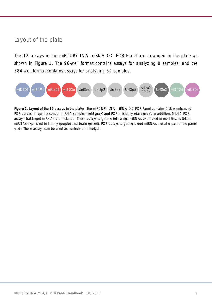### <span id="page-8-0"></span>Layout of the plate

The 12 assays in the miRCURY LNA miRNA QC PCR Panel are arranged in the plate as shown in [Figure 1.](#page-8-1) The 96-well format contains assays for analyzing 8 samples, and the 384-well format contains assays for analyzing 32 samples.



<span id="page-8-1"></span>Figure 1. Layout of the 12 assays in the plates. The miRCURY LNA miRNA QC PCR Panel contains 6 LNA-enhanced PCR assays for quality control of RNA samples (light gray) and PCR efficiency (dark gray). In addition, 5 LNA PCR assays that target miRNAs are included. These assays target the following: miRNAs expressed in most tissues (blue), miRNAs expressed in kidney (purple) and brain (green). PCR assays targeting blood miRNAs are also part of the panel (red). These assays can be used as controls of hemolysis.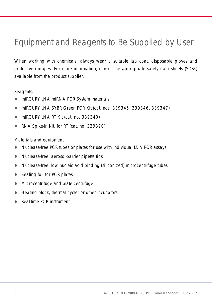### <span id="page-9-0"></span>Equipment and Reagents to Be Supplied by User

When working with chemicals, always wear a suitable lab coat, disposable gloves and protective goggles. For more information, consult the appropriate safety data sheets (SDSs) available from the product supplier.

Reagents:

- miRCURY LNA miRNA PCR System materials
- miRCURY LNA SYBR Green PCR Kit (cat. nos. 339345, 339346, 339347)
- miRCURY LNA RT Kit (cat. no. 339340)
- RNA Spike-In Kit, for RT (cat. no. 339390)

Materials and equipment:

- Nuclease-free PCR tubes or plates for use with individual LNA PCR assays
- Nuclease-free, aerosol-barrier pipette tips
- Nuclease-free, low nucleic acid binding (siliconized) microcentrifuge tubes
- Sealing foil for PCR plates
- Microcentrifuge and plate centrifuge
- Heating block, thermal cycler or other incubators
- Real-time PCR instrument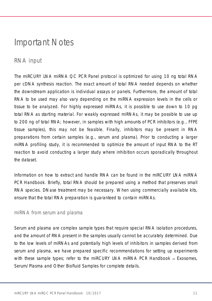### <span id="page-10-0"></span>Important Notes

### <span id="page-10-1"></span>RNA input

The miRCURY LNA miRNA QC PCR Panel protocol is optimized for using 10 ng total RNA per cDNA synthesis reaction. The exact amount of total RNA needed depends on whether the downstream application is individual assays or panels. Furthermore, the amount of total RNA to be used may also vary depending on the miRNA expression levels in the cells or tissue to be analyzed. For highly expressed miRNAs, it is possible to use down to 10 pg total RNA as starting material. For weakly expressed miRNAs, it may be possible to use up to 200 ng of total RNA; however, in samples with high amounts of PCR inhibitors (e.g., FFPE tissue samples), this may not be feasible. Finally, inhibitors may be present in RNA preparations from certain samples (e.g., serum and plasma). Prior to conducting a larger miRNA profiling study, it is recommended to optimize the amount of input RNA to the RT reaction to avoid conducting a larger study where inhibition occurs sporadically throughout the dataset.

Information on how to extract and handle RNA can be found in the *miRCURY LNA miRNA PCR Handbook*. Briefly, total RNA should be prepared using a method that preserves small RNA species. DNase treatment may be necessary. When using commercially available kits, ensure that the total RNA preparation is guaranteed to contain miRNAs.

#### <span id="page-10-2"></span>miRNA from serum and plasma

Serum and plasma are complex sample types that require special RNA isolation procedures, and the amount of RNA present in the samples usually cannot be accurately determined. Due to the low levels of miRNAs and potentially high levels of inhibitors in samples derived from serum and plasma, we have prepared specific recommendations for setting up experiments with these sample types; refer to the *miRCURY LNA miRNA PCR Handbook – Exosomes*, *Serum/Plasma and Other Biofluid Samples* for complete details.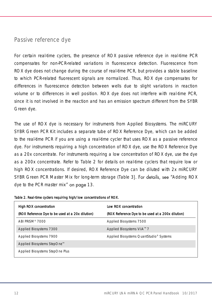### <span id="page-11-0"></span>Passive reference dye

For certain real-time cyclers, the presence of ROX passive reference dye in real-time PCR compensates for non-PCR-related variations in fluorescence detection. Fluorescence from ROX dye does not change during the course of real-time PCR, but provides a stable baseline to which PCR-related fluorescent signals are normalized. Thus, ROX dye compensates for differences in fluorescence detection between wells due to slight variations in reaction volume or to differences in well position. ROX dye does not interfere with real-time PCR, since it is not involved in the reaction and has an emission spectrum different from the SYBR Green dye.

The use of ROX dye is necessary for instruments from Applied Biosystems. The miRCURY SYBR Green PCR Kit includes a separate tube of ROX Reference Dye, which can be added to the real-time PCR if you are using a real-time cycler that uses ROX as a passive reference dye. For instruments requiring a high concentration of ROX dye, use the ROX Reference Dye as a 20x concentrate. For instruments requiring a low concentration of ROX dye, use the dye as a 200x concentrate. Refer to [Table 2](#page-11-1) for details on real-time cyclers that require low or high ROX concentrations. If desired, ROX Reference Dye can be diluted with 2x miRCURY SYBR Green PCR Master Mix for long-term storage [\(Table 3](#page-12-2)). For details, see "Adding ROX [dye to the PCR master mix](#page-12-0)" on page [13.](#page-12-0)

| High ROX concentration                           | Low ROX concentration                             |
|--------------------------------------------------|---------------------------------------------------|
| (ROX Reference Dye to be used at a 20x dilution) | (ROX Reference Dye to be used at a 200x dilution) |
| ABI PRISM® 7000                                  | Applied Biosystems 7500                           |
| Applied Biosystems 7300                          | Applied Biosystems ViiA™ 7                        |
| Applied Biosystems 7900                          | Applied Biosystems QuantStudio® Systems           |
| Applied Biosystems StepOne <sup>™</sup>          |                                                   |
| Applied Biosystems StepOne Plus                  |                                                   |

<span id="page-11-1"></span>

|  |  |  |  | Table 2. Real-time cyclers requiring high/low concentrations of ROX. |
|--|--|--|--|----------------------------------------------------------------------|
|--|--|--|--|----------------------------------------------------------------------|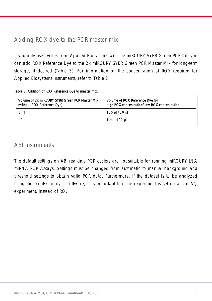### <span id="page-12-0"></span>Adding ROX dye to the PCR master mix

If you only use cyclers from Applied Biosystems with the miRCURY SYBR Green PCR Kit, you can add ROX Reference Dye to the 2x miRCURY SYBR Green PCR Master Mix for long-term storage, if desired [\(Table 3\)](#page-12-2). For information on the concentration of ROX required for Applied Biosystems instruments, refer to [Table 2.](#page-11-1)

| Volume of 2x mIRCURY SYBR Green PCR Master Mix<br>(without ROX Reference Dye) | Volume of ROX Reference Dye for<br>high ROX concentration/low ROX concentration |
|-------------------------------------------------------------------------------|---------------------------------------------------------------------------------|
| 1 ml                                                                          | 100 µl /10 µl                                                                   |
| $10 \text{ ml}$                                                               | 1 ml /100 µl                                                                    |

#### <span id="page-12-2"></span>Table 3. Addition of ROX Reference Dye to master mix.

### <span id="page-12-1"></span>ABI instruments

The default settings on ABI real-time PCR cyclers are not suitable for running miRCURY LNA miRNA PCR Assays. Settings must be changed from automatic to manual background and threshold settings to obtain valid PCR data. Furthermore, if the dataset is to be analyzed using the GenEx analysis software, it is important that the experiment is set up as an AQ experiment, instead of RQ.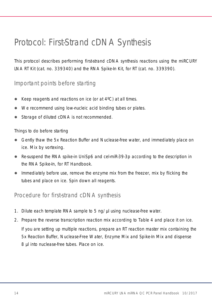### <span id="page-13-0"></span>Protocol: First-Strand cDNA Synthesis

This protocol describes performing first-strand cDNA synthesis reactions using the miRCURY LNA RT Kit (cat. no. 339340) and the RNA Spike-In Kit, for RT (cat. no. 339390).

### <span id="page-13-1"></span>Important points before starting

- Keep reagents and reactions on ice (or at 4ºC) at all times.
- We recommend using low-nucleic acid binding tubes or plates.
- Storage of diluted cDNA is not recommended.

Things to do before starting

- Gently thaw the 5x Reaction Buffer and Nuclease-free water, and immediately place on ice. Mix by vortexing.
- Re-suspend the RNA spike-in UniSp6 and cel-miR-39-3p according to the description in the *RNA Spike-In, for RT Handbook*.
- Immediately before use, remove the enzyme mix from the freezer, mix by flicking the tubes and place on ice. Spin down all reagents.

<span id="page-13-2"></span>Procedure for first-strand cDNA synthesis

- 1. Dilute each template RNA sample to 5 ng/µl using nuclease-free water.
- 2. Prepare the reverse transcription reaction mix according to [Table 4](#page-14-0) and place it on ice. If you are setting up multiple reactions, prepare an RT reaction master mix containing the 5x Reaction Buffer, Nuclease-Free Water, Enzyme Mix and Spike-In Mix and dispense 8 µl into nuclease-free tubes. Place on ice.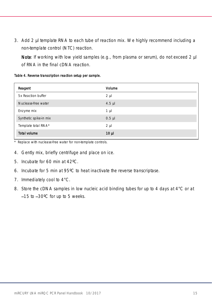3. Add 2 µl template RNA to each tube of reaction mix. We highly recommend including a non-template control (NTC) reaction.

Note: If working with low yield samples (e.g., from plasma or serum), do not exceed 2 µl of RNA in the final cDNA reaction.

<span id="page-14-0"></span>Table 4. Reverse transcription reaction setup per sample.

| Reagent                | Volume          |
|------------------------|-----------------|
| 5x Reaction buffer     | $2 \mu$         |
| Nuclease-free water    | $4.5$ µ         |
| Enzyme mix             | $1 \mu$         |
| Synthetic spike-in mix | $0.5$ $\mu$     |
| Template total RNA*    | $2 \mu$         |
| Total volume           | 10 <sub>µ</sub> |

\* Replace with nuclease-free water for non-template controls.

- 4. Gently mix, briefly centrifuge and place on ice.
- 5. Incubate for 60 min at 42ºC.
- 6. Incubate for 5 min at 95ºC to heat inactivate the reverse transcriptase.
- 7. Immediately cool to 4°C.
- <span id="page-14-1"></span>8. Store the cDNA samples in low nucleic acid binding tubes for up to 4 days at 4°C or at 15 to 30ºC for up to 5 weeks.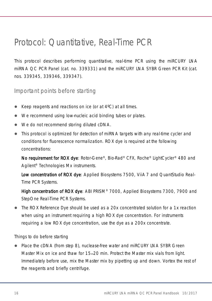### <span id="page-15-0"></span>Protocol: Quantitative, Real-Time PCR

This protocol describes performing quantitative, real-time PCR using the miRCURY LNA miRNA QC PCR Panel (cat. no. 339331) and the miRCURY LNA SYBR Green PCR Kit (cat. nos. 339345, 339346, 339347).

<span id="page-15-1"></span>Important points before starting

- Keep reagents and reactions on ice (or at 4ºC) at all times.
- We recommend using low-nucleic acid binding tubes or plates.
- We do not recommend storing diluted cDNA.
- This protocol is optimized for detection of miRNA targets with any real-time cycler and conditions for fluorescence normalization. ROX dye is required at the following concentrations:

No requirement for ROX dye: Rotor-Gene®, Bio-Rad® CFX, Roche® LightCycler® 480 and Agilent® Technologies Mx instruments.

Low concentration of ROX dye: Applied Biosystems 7500, ViiA 7 and QuantStudio Real-Time PCR Systems.

High concentration of ROX dye: ABI PRISM® 7000, Applied Biosystems 7300, 7900 and StepOne Real-Time PCR Systems.

 The ROX Reference Dye should be used as a 20x concentrated solution for a 1x reaction when using an instrument requiring a high ROX dye concentration. For instruments requiring a low ROX dye concentration, use the dye as a 200x concentrate.

Things to do before starting

• Place the cDNA (from step [8\)](#page-14-1), nuclease-free water and miRCURY LNA SYBR Green Master Mix on ice and thaw for 15–20 min. Protect the Master mix vials from light. Immediately before use, mix the Master mix by pipetting up and down. Vortex the rest of the reagents and briefly centrifuge.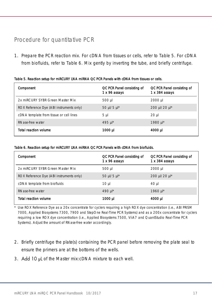### <span id="page-16-0"></span>Procedure for quantitative PCR

1. Prepare the PCR reaction mix. For cDNA from tissues or cells, refer to [Table 5.](#page-16-1) For cDNA from biofluids, refer to [Table 6.](#page-16-2) Mix gently by inverting the tube, and briefly centrifuge.

| Component                                | QC PCR Panel consisting of<br>1 x 96 assays | QC PCR Panel consisting of<br>$1 \times 384$ assays |
|------------------------------------------|---------------------------------------------|-----------------------------------------------------|
| 2x miRCURY SYBR Green Master Mix         | $500$ µl                                    | 2000 µl                                             |
| ROX Reference Dye (ABI instruments only) | 50 µl/5 $\mu$ l*                            | $200 \mu$ l/20 $\mu$ <sup>*</sup>                   |
| cDNA template from tissue or cell lines  | $5 \mu$                                     | $20$ µ                                              |
| RNase-free water                         | 495 µl*                                     | 1980 µl*                                            |
| Total reaction volume                    | 1000 µl                                     | 4000 µl                                             |

#### <span id="page-16-1"></span>Table 5. Reaction setup for miRCURY LNA miRNA QC PCR Panels with cDNA from tissues or cells.

#### <span id="page-16-2"></span>Table 6. Reaction setup for miRCURY LNA miRNA QC PCR Panels with cDNA from biofluids.

| Component                                | QC PCR Panel consisting of<br>1 x 96 assays | QC PCR Panel consisting of<br>$1 \times 384$ assays |
|------------------------------------------|---------------------------------------------|-----------------------------------------------------|
| 2x miRCURY SYBR Green Master Mix         | $500$ µl                                    | 2000 µl                                             |
| ROX Reference Dye (ABI instruments only) | 50 µl/5 µl*                                 | $200 \mu$ l/20 $\mu$ <sup>*</sup>                   |
| cDNA template from biofluids             | $10 \mu$                                    | 40 µl                                               |
| RNase-free water                         | 490 $\mu$ <sup>*</sup>                      | 1960 $\mu$ <sup>*</sup>                             |
| Total reaction volume                    | 1000 µl                                     | 4000 ul                                             |

\* Use ROX Reference Dye as a 20x concentrate for cyclers requiring a high ROX dye concentration (i.e., ABI PRISM 7000, Applied Biosystems 7300, 7900 and StepOne Real-Time PCR Systems) and as a 200x concentrate for cyclers requiring a low ROX dye concentration (i.e., Applied Biosystems 7500, ViiA7 and QuantStudio Real-Time PCR Systems). Adjust the amount of RNase-free water accordingly.

- 2. Briefly centrifuge the plate(s) containing the PCR panel before removing the plate seal to ensure the primers are at the bottoms of the wells.
- 3. Add 10 pL of the Master mix:cDNA mixture to each well.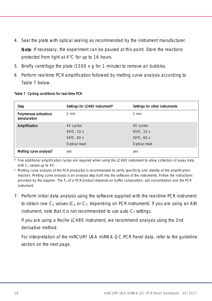- 4. Seal the plate with optical sealing as recommended by the instrument manufacturer. Note: If necessary, the experiment can be paused at this point. Store the reactions protected from light at 4°C for up to 16 hours.
- 5. Briefly centrifuge the plate (1500 *x g* for 1 minute) to remove air bubbles.
- 6. Perform real-time PCR amplification followed by melting curve analysis according to [Table 7](#page-17-0) below.

#### <span id="page-17-0"></span>Table 7. Cycling conditions for real-time PCR

| <b>Step</b>                            | Settings for LC480 instrument*                                             | Settings for other instruments                                             |
|----------------------------------------|----------------------------------------------------------------------------|----------------------------------------------------------------------------|
| Polymerase activation/<br>denaturation | $2$ min                                                                    | 2 min                                                                      |
| Amplification                          | 45 cycles:<br>$95^{\circ}$ C, 10 s<br>$56^{\circ}$ C. 60 s<br>Optical read | 40 cycles:<br>$95^{\circ}$ C. 10 s<br>$56^{\circ}$ C. 60 s<br>Optical read |
| Melting curve analysis <sup>t</sup>    | yes                                                                        | yes                                                                        |

\* Five additional amplification cycles are required when using the LC480 instrument to allow collection of assay data with  $C_p$  values up to  $40$ .

<sup>†</sup> Melting curve analysis of the PCR product(s) is recommended to verify specificity and identity of the amplification reaction. Melting curve analysis is an analysis step built into the software of the instruments. Follow the instructions provided by the supplier. The  $T_m$  of a PCR product depends on buffer composition, salt concentration and the PCR instrument.

7. Perform initial data analysis using the software supplied with the real-time PCR instrument to obtain raw  $C_q$  values  $(C_p$  or  $C_l$ , depending on PCR instrument). If you are using an ABI instrument, note that it is not recommended to use auto  $C<sub>T</sub>$  settings.

If you are using a Roche LC480 instrument, we recommend analysis using the 2nd derivative method.

For interpretation of the miRCURY LNA miRNA QC PCR Panel data, refer to the guideline section on the next page.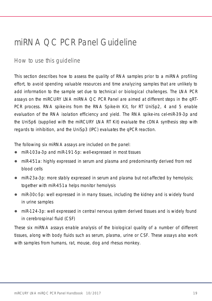### <span id="page-18-0"></span>miRNA QC PCR Panel Guideline

### <span id="page-18-1"></span>How to use this guideline

This section describes how to assess the quality of RNA samples prior to a miRNA profiling effort, to avoid spending valuable resources and time analyzing samples that are unlikely to add information to the sample set due to technical or biological challenges. The LNA PCR assays on the miRCURY LNA miRNA QC PCR Panel are aimed at different steps in the qRT-PCR process. RNA spike-ins from the RNA Spike-In Kit, for RT UniSp2, 4 and 5 enable evaluation of the RNA isolation efficiency and yield. The RNA spike-ins cel-miR-39-3p and the UniSp6 (supplied with the miRCURY LNA RT Kit) evaluate the cDNA synthesis step with regards to inhibition, and the UniSp3 (IPC) evaluates the qPCR reaction.

The following six miRNA assays are included on the panel:

- miR-103a-3p and miR-191-5p: well-expressed in most tissues
- miR-451a: highly expressed in serum and plasma and predominantly derived from red blood cells
- miR-23a-3p: more stably expressed in serum and plasma but not affected by hemolysis; together with miR-451a helps monitor hemolysis
- miR-30c-5p: well expressed in in many tissues, including the kidney and is widely found in urine samples
- miR-124-3p: well expressed in central nervous system derived tissues and is widely found in cerebrospinal fluid (CSF)

These six miRNA assays enable analysis of the biological quality of a number of different tissues, along with body fluids such as serum, plasma, urine or CSF. These assays also work with samples from humans, rat, mouse, dog and rhesus monkey.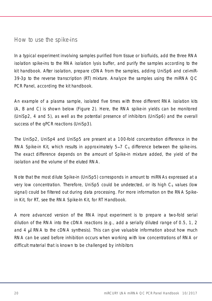### <span id="page-19-0"></span>How to use the spike-ins

In a typical experiment involving samples purified from tissue or biofluids, add the three RNA isolation spike-ins to the RNA isolation lysis buffer, and purify the samples according to the kit handbook. After isolation, prepare cDNA from the samples, adding UniSp6 and cel-miR-39-3p to the reverse transcription (RT) mixture. Analyze the samples using the miRNA QC PCR Panel, according the kit handbook.

An example of a plasma sample, isolated five times with three different RNA isolation kits (A, B and C) is shown below [\(Figure 2\)](#page-20-0). Here, the RNA spike-in yields can be monitored (UniSp2, 4 and 5), as well as the potential presence of inhibitors (UniSp6) and the overall success of the qPCR reactions (UniSp3).

The UniSp2, UniSp4 and UniSp5 are present at a 100-fold concentration difference in the RNA Spike-in Kit, which results in approximately  $5-7$   $C<sub>q</sub>$  difference between the spike-ins. The exact difference depends on the amount of Spike-in mixture added, the yield of the isolation and the volume of the eluted RNA.

Note that the most dilute Spike-in (UniSp5) corresponds in amount to miRNAs expressed at a very low concentration. Therefore, UniSp5 could be undetected, or its high  $C<sub>a</sub>$  values (low signal) could be filtered out during data processing. For more information on the RNA Spikein Kit, for RT, see the *RNA Spike-In Kit, for RT Handbook*.

A more advanced version of the RNA input experiment is to prepare a two-fold serial dilution of the RNA into the cDNA reactions (e.g., add a serially diluted range of 0.5, 1, 2 and 4 RNA to the cDNA synthesis). This can give valuable information about how much RNA can be used before inhibition occurs when working with low concentrations of RNA or difficult material that is known to be challenged by inhibitors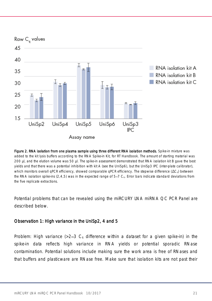

<span id="page-20-0"></span>Figure 2. RNA isolation from one plasma sample using three different RNA isolation methods. Spike-in mixture was added to the kit lysis buffers according to the *RNA Spike-in Kit, for RT Handbook*. The amount of starting material was 200 µl, and the elution volume was 50 µl. The spike-in assessment demonstrated that RNA isolation kit B gave the best yields and that there was a potential inhibition with kit A (see the UniSp6), but the UniSp3 IPC (inter-plate calibrator), which monitors overall qPCR efficiency, showed comparable qPCR efficiency. The stepwise difference  $( \Delta C_0 )$  between the RNA isolation spike-ins  $(2,4,5)$  was in the expected range of  $5-7$  C<sub>0</sub>. Error bars indicate standard deviations from the five replicate extractions.

Potential problems that can be revealed using the miRCURY LNA miRNA QC PCR Panel are described below.

#### Observation 1: High variance in the UniSp2, 4 and 5

Problem: High variance ( $>2-3$  C<sub>q</sub> difference within a dataset for a given spike-in) in the spike-in data reflects high variance in RNA yields or potential sporadic RNase contamination. Potential solutions include making sure the work area is free of RNases and that buffers and plasticware are RNase free. Make sure that isolation kits are not past their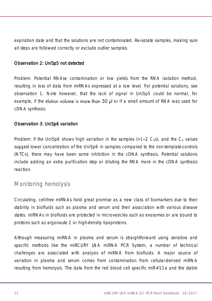expiration date and that the solutions are not contaminated. Re-isolate samples, making sure all steps are followed correctly or exclude outlier samples.

#### Observation 2: UniSp5 not detected

Problem: Potential RNAse contamination or low yields from the RNA isolation method, resulting in loss of data from miRNAs expressed at a low level. For potential solutions, see observation 1. Note however, that the lack of signal in UniSp5 could be normal, for example, if the elution volume is more than 50  $\mu$  or if a small amount of RNA was used for cDNA synthesis.

#### Observation 3: UniSp6 variation

Problem: If the UniSp6 shows high variation in the samples ( $>1-2$  C<sub>0</sub>s), and the C<sub>0</sub> values suggest lower concentration of the UniSp6 in samples compared to the non-template-controls (NTCs), there may have been some inhibition in the cDNA synthesis. Potential solutions include adding an extra purification step or diluting the RNA more in the cDNA synthesis reaction.

### <span id="page-21-0"></span>Monitoring hemolysis

Circulating, cell-free miRNAs hold great promise as a new class of biomarkers due to their stability in biofluids such as plasma and serum and their association with various disease states. miRNAs in biofluids are protected in microvesicles such as exosomes or are bound to proteins such as argonaute 2 or high-density lipoproteins.

Although measuring miRNA in plasma and serum is straightforward using sensitive and specific methods like the miRCURY LNA miRNA PCR System, a number of technical challenges are associated with analysis of miRNA from biofluids. A major source of variation in plasma and serum comes from contamination from cellular-derived miRNA resulting from hemolysis. The data from the red blood cell specific miR-451a and the stable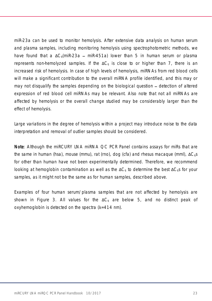miR-23a can be used to monitor hemolysis. After extensive data analysis on human serum and plasma samples, including monitoring hemolysis using spectrophotometric methods, we have found that a  $\Delta C_0$ (miR-23a – miR-451a) lower than 5 in human serum or plasma represents non-hemolyzed samples. If the  $\Delta C_q$  is close to or higher than 7, there is an increased risk of hemolysis. In case of high levels of hemolysis, miRNAs from red blood cells will make a significant contribution to the overall miRNA profile identified, and this may or may not disqualify the samples depending on the biological question – detection of altered expression of red blood cell miRNAs may be relevant. Also note that not all miRNAs are affected by hemolysis or the overall change studied may be considerably larger than the effect of hemolysis.

Large variations in the degree of hemolysis within a project may introduce noise to the data interpretation and removal of outlier samples should be considered.

Note: Although the miRCURY LNA miRNA QC PCR Panel contains assays for miRs that are the same in human (hsa), mouse (mmu), rat (rno), dog (cfa) and rhesus macaque (mml),  $\Delta C_0$ s for other than human have not been experimentally determined. Therefore, we recommend looking at hemoglobin contamination as well as the  $\Delta C_0$  to determine the best  $\Delta C_0$ s for your samples, as it might not be the same as for human samples, described above.

Examples of four human serum/plasma samples that are not affected by hemolysis are shown in [Figure 3.](#page-23-0) All values for the  $\Delta C_q$  are below 5, and no distinct peak of oxyhemoglobin is detected on the spectra (λ=414 nm).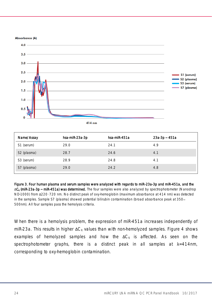Absorbance (A)



| Name/Assay              | hsa-miR-23a-3p | hsa-miR-451a | 23a-3p – 451a |
|-------------------------|----------------|--------------|---------------|
| S1 (serum)              | 29.0           | 24.1         | 4.9           |
| S <sub>2</sub> (plasma) | 28.7           | 24.6         | 4.1           |
| S <sub>3</sub> (serum)  | 28.9           | 24.8         | 4.1           |
| S7 (plasma)             | 29.0           | 24.2         | 4.8           |

<span id="page-23-0"></span>Figure 3. Four human plasma and serum samples were analyzed with regards to miR-23a-3p and miR-451a, and the ΔC<sub>q</sub> (miR-23a-3p - miR-451a) was determined. The four samples were also analyzed by spectrophotometer (Nanodrop ND-1000) from Δ220–720 nm. No distinct peak of oxy-hemoglobin (maximum absorbance at 414 nm) was detected in the samples. Sample S7 (plasma) showed potential bilirubin contamination (broad absorbance peak at 350 500nm). All four samples pass the hemolysis criteria.

When there is a hemolysis problem, the expression of miR-451a increases independently of miR-23a. This results in higher  $\Delta C_q$  values than with non-hemolyzed samples. [Figure 4](#page-24-0) shows examples of hemolyzed samples and how the  $\Delta C_q$  is affected. As seen on the spectrophotometer graphs, there is a distinct peak in all samples at  $\lambda = 414$ nm, corresponding to oxy-hemoglobin contamination.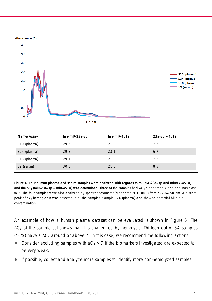Absorbance (A)

![](_page_24_Figure_1.jpeg)

| Name/Assay   | hsa-miR-23a-3p | hsa-miR-451a | 23a-3p – 451a |
|--------------|----------------|--------------|---------------|
| S10 (plasma) | 29.5           | 21.9         | 7.6           |
| S24 (plasma) | 29.8           | 23.1         | 6.7           |
| S13 (plasma) | 29.1           | 21.8         | 7.3           |
| S9 (serum)   | 30.0           | 21.5         | 8.5           |

<span id="page-24-0"></span>Figure 4. Four human plasma and serum samples were analyzed with regards to miRNA-23a-3p and miRNA-451a, and the  $\Delta C_q$  (miR-23a-3p – miR-451a) was determined. Three of the samples had  $\Delta C_q$  higher than 7 and one was close to 7. The four samples were also analyzed by spectrophotometer (Nanodrop ND-1000) from λ220-750 nm. A distinct peak of oxy-hemoglobin was detected in all the samples. Sample S24 (plasma) also showed potential bilirubin contamination.

An example of how a human plasma dataset can be evaluated is shown in [Figure 5.](#page-25-0) The  $\Delta C_q$  of the sample set shows that it is challenged by hemolysis. Thirteen out of 34 samples (40%) have a  $\Delta C_q$  around or above 7. In this case, we recommend the following actions:

- Consider excluding samples with  $\Delta C_q > 7$  if the biomarkers investigated are expected to be very weak.
- If possible, collect and analyze more samples to identify more non-hemolyzed samples.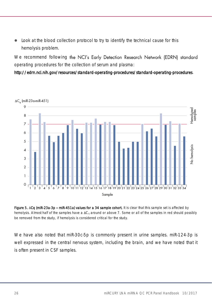Look at the blood collection protocol to try to identify the technical cause for this hemolysis problem.

We recommend following the NCI's Early Detection Research Network (EDRN) standard operating procedures for the collection of serum and plasma:

#### <http://edrn.nci.nih.gov/resources/standard-operating-procedures/standard-operating-procedures>.

![](_page_25_Figure_3.jpeg)

<span id="page-25-0"></span>Figure 5. ΔCq (miR-23a-3p - miR-451a) values for a 34 sample cohort. It is clear that this sample set is affected by hemolysis. Almost half of the samples have a  $\Delta C_q$  around or above 7. Some or all of the samples in red should possibly be removed from the study, if hemolysis is considered critical for the study.

We have also noted that miR-30c-5p is commonly present in urine samples. miR-124-3p is well expressed in the central nervous system, including the brain, and we have noted that it is often present in CSF samples.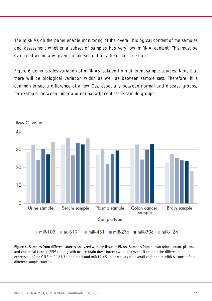The miRNAs on the panel enable monitoring of the overall biological content of the samples and assessment whether a subset of samples has very low miRNA content. This must be evaluated within any given sample set and on a tissue-to-tissue basis.

[Figure 6](#page-26-0) demonstrates variation of miRNAs isolated from different sample sources. Note that there will be biological variation within as well as between sample sets. Therefore, it is common to see a difference of a few  $C_0s$ , especially between normal and disease groups, for example, between tumor and normal adjacent tissue sample groups.

![](_page_26_Figure_2.jpeg)

<span id="page-26-0"></span>Figure 6. Samples from different sources analyzed with the tissue miRNAs. Samples from human urine, serum, plasma and colorectal cancer (FFPE), along with mouse brain (fresh-frozen) were analyzed. Note both the differential expression of the CNS miR-124-3p and the blood miRNA-451a as well as the overall variation in miRNA content from different sample sources.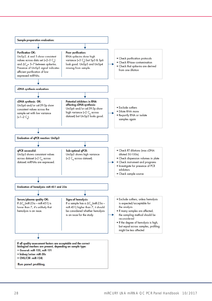![](_page_27_Figure_0.jpeg)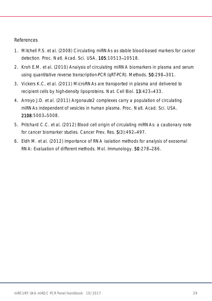#### References

- 1. Mitchell P.S. et al. (2008) Circulating miRNAs as stable blood-based markers for cancer detection. Proc. Natl. Acad. Sci. USA. **105**:10513-10518.
- 2. Kroh E.M. et al. (2010) Analysis of circulating miRNA biomarkers in plasma and serum using quantitative reverse transcription-PCR (qRT-PCR). Methods. 50:298-301.
- 3. Vickers K.C. et al. (2011) MicroRNAs are transported in plasma and delivered to recipient cells by high-density lipoproteins. Nat. Cell Biol. 13:423-433.
- 4. Arroyo J.D. et al. (2011) Argonaute2 complexes carry a population of circulating miRNAs independent of vesicles in human plasma. Proc. Natl. Acad. Sci. USA. 2108:5003-5008.
- 5. Pritchard C.C. et al. (2012) Blood cell origin of circulating miRNAs: a cautionary note for cancer biomarker studies. Cancer Prev. Res. 5(3):492-497.
- 6. Eldh M. et al. (2012) Importance of RNA isolation methods for analysis of exosomal RNA: Evaluation of different methods. Mol. Immunology. 50:278-286.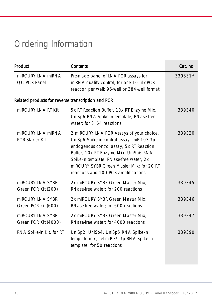## <span id="page-29-0"></span>Ordering Information

| Product                                            | Contents                                                                                                                                                                                                                                                                                                  | Cat. no. |
|----------------------------------------------------|-----------------------------------------------------------------------------------------------------------------------------------------------------------------------------------------------------------------------------------------------------------------------------------------------------------|----------|
| miRCURY LNA miRNA<br>OC PCR Panel                  | Pre-made panel of LNA PCR assays for<br>miRNA quality control; for one 10 µl qPCR<br>reaction per well; 96-well or 384-well format                                                                                                                                                                        | 339331*  |
| Related products for reverse transcription and PCR |                                                                                                                                                                                                                                                                                                           |          |
| miRCURY LNA RT Kit                                 | 5x RT Reaction Buffer, 10x RT Enzyme Mix,<br>UniSp6 RNA Spike-in template, RNase-free<br>water: for 8-64 reactions                                                                                                                                                                                        | 339340   |
| miRCURY INA miRNA<br><b>PCR Starter Kit</b>        | 2 miRCURY LNA PCR Assays of your choice,<br>UniSp6 Spike-in control assay, miR-103-3p<br>endogenous control assay, 5x RT Reaction<br>Buffer, 10x RT Enzyme Mix, UniSp6 RNA<br>Spike-in template, RNase-free water, 2x<br>miRCURY SYBR Green Master Mix: for 20 RT<br>reactions and 100 PCR amplifications | 339320   |
| miRCURY LNA SYBR<br>Green PCR Kit (200)            | 2x miRCURY SYBR Green Master Mix,<br>RNase-free water: for 200 reactions                                                                                                                                                                                                                                  | 339345   |
| miRCURY LNA SYBR<br>Green PCR Kit (600)            | 2x miRCURY SYBR Green Master Mix.<br>RNase-free water; for 600 reactions                                                                                                                                                                                                                                  | 339346   |
| miRCURY INA SYBR<br>Green PCR Kit (4000)           | 2x miRCURY SYBR Green Master Mix,<br>RNase-free water; for 4000 reactions                                                                                                                                                                                                                                 | 339347   |
| RNA Spike-in Kit, for RT                           | UniSp2, UniSp4, UniSp5 RNA Spike-in<br>template mix, cel-miR-39-3p RNA Spike-in<br>template; for 50 reactions                                                                                                                                                                                             | 339390   |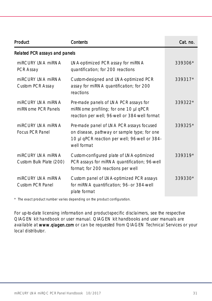| Product                                      | Contents                                                                                                                                                | Cat. no.  |
|----------------------------------------------|---------------------------------------------------------------------------------------------------------------------------------------------------------|-----------|
| Related PCR assays and panels                |                                                                                                                                                         |           |
| miRCURY INA miRNA<br>PCR Assay               | LNA-optimized PCR assay for miRNA<br>quantification; for 200 reactions                                                                                  | 339306*   |
| miRCURY INA miRNA<br>Custom PCR Assay        | Custom-designed and LNA-optimized PCR<br>assay for miRNA quantification; for 200<br>reactions                                                           | 339317*   |
| miRCURY INA miRNA<br>miRNome PCR Panels      | Pre-made panels of LNA PCR assays for<br>miRNome profiling; for one 10 µl qPCR<br>reaction per well; 96-well or 384-well format                         | $339322*$ |
| miRCURY INA miRNA<br><b>Focus PCR Panel</b>  | Pre-made panel of LNA PCR assays focused<br>on disease, pathway or sample type; for one<br>10 µl qPCR reaction per well; 96-well or 384-<br>well format | 339325*   |
| miRCURY INA miRNA<br>Custom Bulk Plate (200) | Custom-configured plate of LNA-optimized<br>PCR assays for miRNA quantification; 96-well<br>format; for 200 reactions per well                          | 339319*   |
| miRCURY INA miRNA<br>Custom PCR Panel        | Custom panel of LNA-optimized PCR assays<br>for miRNA quantification; 96- or 384-well<br>plate format                                                   | 339330*   |

\* The exact product number varies depending on the product configuration.

For up-to-date licensing information and product-specific disclaimers, see the respective QIAGEN kit handbook or user manual. QIAGEN kit handbooks and user manuals are available at www.qiagen.com or can be requested from QIAGEN Technical Services or your local distributor.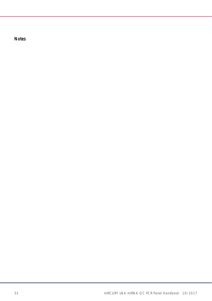Notes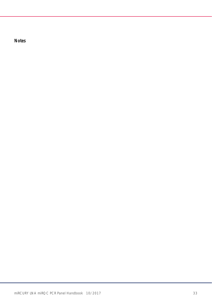Notes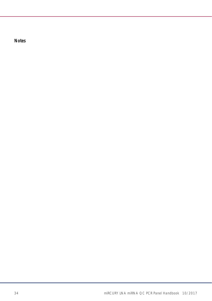Notes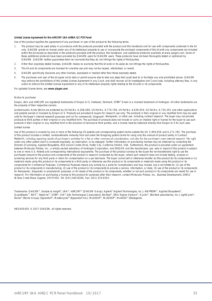#### Limited License Agreement for the miRCURY LNA miRNA QC PCR Panel

Use of this product signifies the agreement of any purchaser or user of the product to the following terms:

- 1. The product may be used solely in accordance with the protocols provided with the product and this handbook and for use with components contained in the kit only. QIAGEN grants no license under any of its intellectual property to use or incorporate the enclosed components of this kit with any components not included within this kit except as described in the protocols provided with the product, this handbook, and additional protocols available at www.qiagen.com. Some of these additional protocols have been provided by QIAGEN users for QIAGEN users. These protocols have not been thoroughly tested or optimized by QIAGEN. QIAGEN neither guarantees them nor warrants that they do not infringe the rights of third-parties.
- 2. Other than expressly stated licenses, QIAGEN makes no warranty that this kit and/or its use(s) do not infringe the rights of third-parties.
- 3. This kit and its components are licensed for one-time use and may not be reused, refurbished, or resold.
- 4. QIAGEN specifically disclaims any other licenses, expressed or implied other than those expressly stated.
- 5. The purchaser and user of the kit agree not to take or permit anyone else to take any steps that could lead to or facilitate any acts prohibited above. QIAGEN may enforce the prohibitions of this Limited License Agreement in any Court, and shall recover all its investigative and Court costs, including attorney fees, in any action to enforce this Limited License Agreement or any of its intellectual property rights relating to the kit and/or its components.

For updated license terms, see [www.qiagen.com](http://www.qiagen.com/).

#### Notice to purchaser

Exiqon, LNA and miRCURY are registered trademarks of Exiqon A/S, Vedbaek, Denmark. SYBR® Green is a licensed trademark of Invitrogen. All other trademarks are the property of their respective owners.

Locked-nucleic Acids (LNAs) are protected by US Pat No. 6,268,490, US Pat No. 6,770,748, US Pat No. 6,639,059, US Pat No. 6,734,291 and other applications and patents owned or licensed by Exiqon A/S. Products are provided to buyers for research use only. The products in their original or any modified form may be used only for the buyer's internal research purposes and not for commercial, diagnostic, therapeutic, or other use, including contract research. The buyer may not provide products to third parties in their original or any modified form. The purchase of products does not include or carry an implied right or license for the buyer to use such products in their original or any modified form in the provision of services to third parties, and a license must be obtained directly from Exiqon A/S for such uses. Limited license

Use of this product is covered by one or more of the following US patents and corresponding patent claims outside the US: 5,994,056 and 6,171,785. The purchase of this product includes a limited, nontransferable immunity from suit under the foregoing patent claims for using only this amount of product solely in Contract Research, including reporting results of purchaser's activities for a fee or other commercial consideration, and also for the purchaser's own internal research. No right under any other patent claim is conveyed expressly, by implication, or by estoppel. Further information on purchasing licenses may be obtained by contacting the Director of Licensing, Applied Biosystems, 850 Lincoln Centre Drive, Foster City, California 94404, USA. Furthermore, this product is provided under an agreement between Molecular Probes, Inc., a wholly owned subsidiary of Invitrogen Corporation, and EXIQON and the manufacture, use, sale or import of this product is subject to one or more U.S. Patents and corresponding international equivalents. The purchase of this product conveys to the buyer the non-transferable right to use the purchased amount of the product and components of the product in research conducted by the buyer, where such research does not include testing, analysis or screening services for any third party in return for compensation on a per test basis. The buyer cannot sell or otherwise transfer (a) this product (b) its components or (c) materials made using this product or its components to a third party or otherwise use this product or its components or materials made using this product or its components for Commercial Purposes. Commercial Purposes means any activity by a party for consideration and may include, but is not limited to: (1) use of the product or its components in manufacturing; (2) use of the product or its components to provide a service, information, or data; (3) use of the product or its components for therapeutic, diagnostic or prophylactic purposes; or (4) resale of the product or its components, whether or not such product or its components are resold for use in research. For information on purchasing a license to this product for purposes other than research, contact Molecular Probes, Inc., Business Development, 29851 Willow Creek Road, Eugene, OR 97402. Tel: (541) 465-8300, Fax: (541) 335-0354.

Trademarks: QIAGEN®, Sample to Insight®, LNA®, miRCURY® (QIAGEN Group); Agilent® (Agilent Technologies, Inc.); ABI PRISM®, Applied Biosystems®,<br>QuantStudio™, ROX™, StepOne™, SYBR®, ViiA® (Life Technologies Corporation); Bi Roche® (Roche Group); Eppendorf®, Mastercycler® (Eppendorf AG); Mx3005P®, Mx3000P®, Mx4000® (Stratagene).

HB-2440-001 © 2017 OIAGEN, all rights reserved.